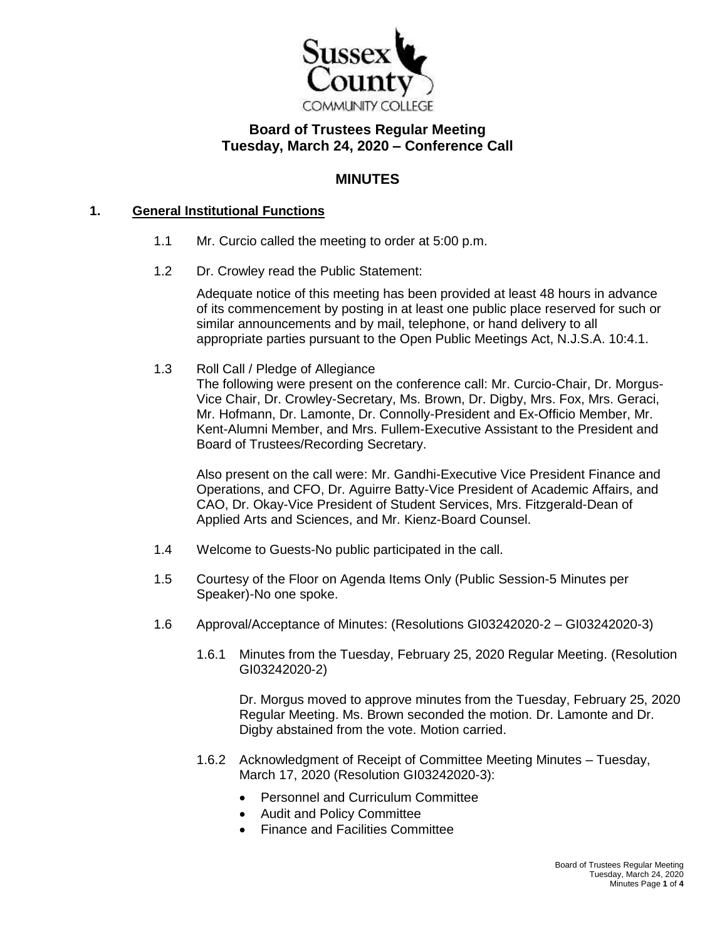

## **Board of Trustees Regular Meeting Tuesday, March 24, 2020 – Conference Call**

### **MINUTES**

#### **1. General Institutional Functions**

- 1.1 Mr. Curcio called the meeting to order at 5:00 p.m.
- 1.2 Dr. Crowley read the Public Statement:

Adequate notice of this meeting has been provided at least 48 hours in advance of its commencement by posting in at least one public place reserved for such or similar announcements and by mail, telephone, or hand delivery to all appropriate parties pursuant to the Open Public Meetings Act, N.J.S.A. 10:4.1.

1.3 Roll Call / Pledge of Allegiance

The following were present on the conference call: Mr. Curcio-Chair, Dr. Morgus-Vice Chair, Dr. Crowley-Secretary, Ms. Brown, Dr. Digby, Mrs. Fox, Mrs. Geraci, Mr. Hofmann, Dr. Lamonte, Dr. Connolly-President and Ex-Officio Member, Mr. Kent-Alumni Member, and Mrs. Fullem-Executive Assistant to the President and Board of Trustees/Recording Secretary.

Also present on the call were: Mr. Gandhi-Executive Vice President Finance and Operations, and CFO, Dr. Aguirre Batty-Vice President of Academic Affairs, and CAO, Dr. Okay-Vice President of Student Services, Mrs. Fitzgerald-Dean of Applied Arts and Sciences, and Mr. Kienz-Board Counsel.

- 1.4 Welcome to Guests-No public participated in the call.
- 1.5 Courtesy of the Floor on Agenda Items Only (Public Session-5 Minutes per Speaker)-No one spoke.
- 1.6 Approval/Acceptance of Minutes: (Resolutions GI03242020-2 GI03242020-3)
	- 1.6.1 Minutes from the Tuesday, February 25, 2020 Regular Meeting. (Resolution GI03242020-2)

Dr. Morgus moved to approve minutes from the Tuesday, February 25, 2020 Regular Meeting. Ms. Brown seconded the motion. Dr. Lamonte and Dr. Digby abstained from the vote. Motion carried.

- 1.6.2 Acknowledgment of Receipt of Committee Meeting Minutes Tuesday, March 17, 2020 (Resolution GI03242020-3):
	- Personnel and Curriculum Committee
	- Audit and Policy Committee
	- Finance and Facilities Committee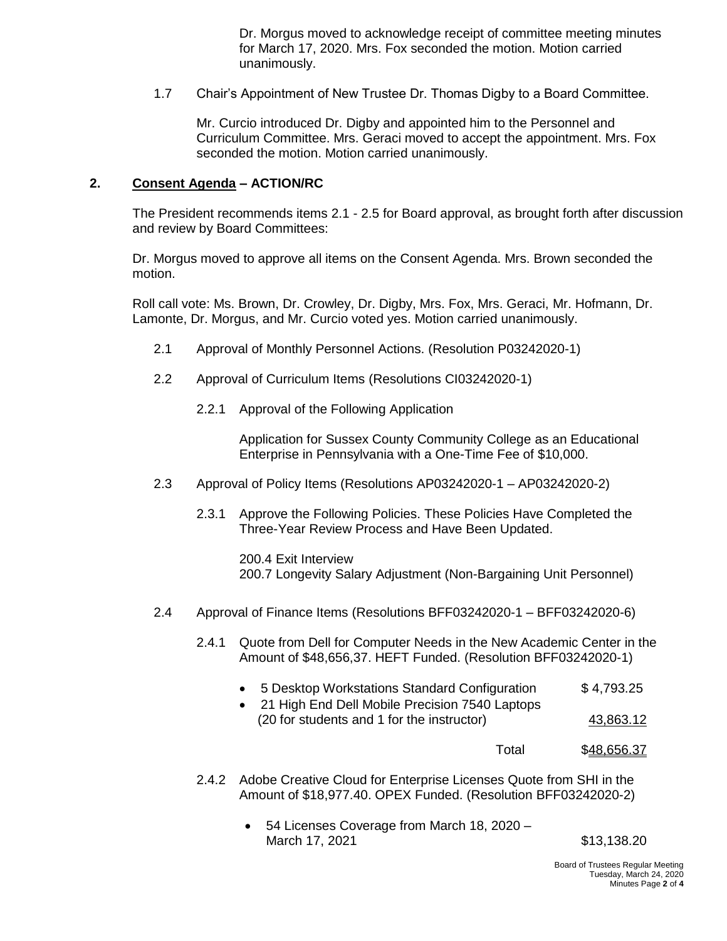Dr. Morgus moved to acknowledge receipt of committee meeting minutes for March 17, 2020. Mrs. Fox seconded the motion. Motion carried unanimously.

1.7 Chair's Appointment of New Trustee Dr. Thomas Digby to a Board Committee.

Mr. Curcio introduced Dr. Digby and appointed him to the Personnel and Curriculum Committee. Mrs. Geraci moved to accept the appointment. Mrs. Fox seconded the motion. Motion carried unanimously.

#### **2. Consent Agenda – ACTION/RC**

The President recommends items 2.1 - 2.5 for Board approval, as brought forth after discussion and review by Board Committees:

Dr. Morgus moved to approve all items on the Consent Agenda. Mrs. Brown seconded the motion.

Roll call vote: Ms. Brown, Dr. Crowley, Dr. Digby, Mrs. Fox, Mrs. Geraci, Mr. Hofmann, Dr. Lamonte, Dr. Morgus, and Mr. Curcio voted yes. Motion carried unanimously.

- 2.1 Approval of Monthly Personnel Actions. (Resolution P03242020-1)
- 2.2 Approval of Curriculum Items (Resolutions CI03242020-1)
	- 2.2.1 Approval of the Following Application

Application for Sussex County Community College as an Educational Enterprise in Pennsylvania with a One-Time Fee of \$10,000.

- 2.3 Approval of Policy Items (Resolutions AP03242020-1 AP03242020-2)
	- 2.3.1 Approve the Following Policies. These Policies Have Completed the Three-Year Review Process and Have Been Updated.

200.4 Exit Interview 200.7 Longevity Salary Adjustment (Non-Bargaining Unit Personnel)

- 2.4 Approval of Finance Items (Resolutions BFF03242020-1 BFF03242020-6)
	- 2.4.1 Quote from Dell for Computer Needs in the New Academic Center in the Amount of \$48,656,37. HEFT Funded. (Resolution BFF03242020-1)
		- 5 Desktop Workstations Standard Configuration  $$4,793.25$
		- 21 High End Dell Mobile Precision 7540 Laptops (20 for students and 1 for the instructor) 43,863.12
			- Total \$48,656.37
	- 2.4.2 Adobe Creative Cloud for Enterprise Licenses Quote from SHI in the Amount of \$18,977.40. OPEX Funded. (Resolution BFF03242020-2)
		- 54 Licenses Coverage from March 18, 2020 March 17, 2021 513,138.20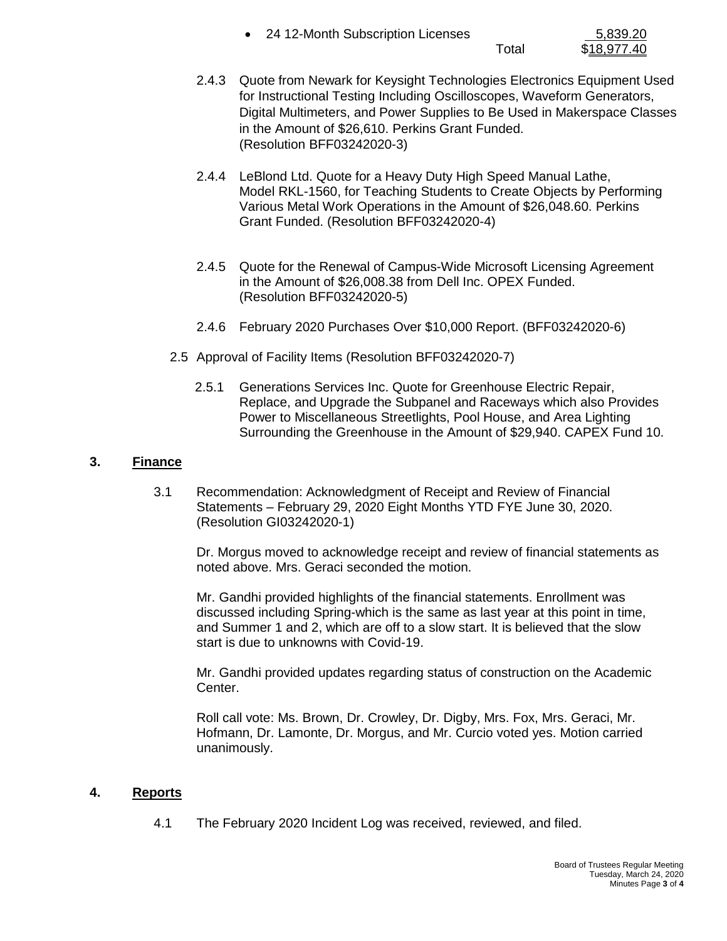| 24 12-Month Subscription Licenses | 5,839.20 |
|-----------------------------------|----------|
|                                   |          |

Total \$18,977.40

- 2.4.3 Quote from Newark for Keysight Technologies Electronics Equipment Used for Instructional Testing Including Oscilloscopes, Waveform Generators, Digital Multimeters, and Power Supplies to Be Used in Makerspace Classes in the Amount of \$26,610. Perkins Grant Funded. (Resolution BFF03242020-3)
- 2.4.4 LeBlond Ltd. Quote for a Heavy Duty High Speed Manual Lathe, Model RKL-1560, for Teaching Students to Create Objects by Performing Various Metal Work Operations in the Amount of \$26,048.60. Perkins Grant Funded. (Resolution BFF03242020-4)
- 2.4.5 Quote for the Renewal of Campus-Wide Microsoft Licensing Agreement in the Amount of \$26,008.38 from Dell Inc. OPEX Funded. (Resolution BFF03242020-5)
- 2.4.6 February 2020 Purchases Over \$10,000 Report. (BFF03242020-6)
- 2.5 Approval of Facility Items (Resolution BFF03242020-7)
	- 2.5.1 Generations Services Inc. Quote for Greenhouse Electric Repair, Replace, and Upgrade the Subpanel and Raceways which also Provides Power to Miscellaneous Streetlights, Pool House, and Area Lighting Surrounding the Greenhouse in the Amount of \$29,940. CAPEX Fund 10.

## **3. Finance**

3.1 Recommendation: Acknowledgment of Receipt and Review of Financial Statements – February 29, 2020 Eight Months YTD FYE June 30, 2020. (Resolution GI03242020-1)

Dr. Morgus moved to acknowledge receipt and review of financial statements as noted above. Mrs. Geraci seconded the motion.

Mr. Gandhi provided highlights of the financial statements. Enrollment was discussed including Spring-which is the same as last year at this point in time, and Summer 1 and 2, which are off to a slow start. It is believed that the slow start is due to unknowns with Covid-19.

Mr. Gandhi provided updates regarding status of construction on the Academic Center.

Roll call vote: Ms. Brown, Dr. Crowley, Dr. Digby, Mrs. Fox, Mrs. Geraci, Mr. Hofmann, Dr. Lamonte, Dr. Morgus, and Mr. Curcio voted yes. Motion carried unanimously.

# **4. Reports**

4.1 The February 2020 Incident Log was received, reviewed, and filed.